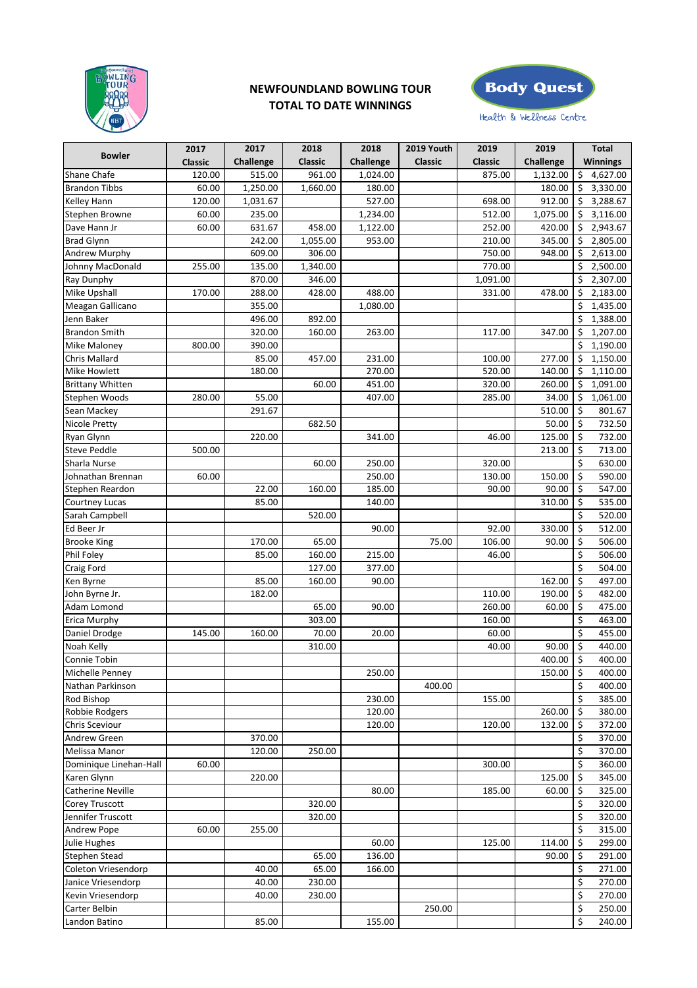

## **NEWFOUNDLAND BOWLING TOUR TOTAL TO DATE WINNINGS**



Health & Wellness Centre

|                          | 2017           | 2017             | 2018           | 2018             | 2019 Youth     | 2019           | 2019      | <b>Total</b>      |
|--------------------------|----------------|------------------|----------------|------------------|----------------|----------------|-----------|-------------------|
| <b>Bowler</b>            | <b>Classic</b> | <b>Challenge</b> | <b>Classic</b> | <b>Challenge</b> | <b>Classic</b> | <b>Classic</b> | Challenge | <b>Winnings</b>   |
| <b>Shane Chafe</b>       | 120.00         | 515.00           | 961.00         | 1,024.00         |                | 875.00         | 1,132.00  | 4,627.00<br>\$    |
| <b>Brandon Tibbs</b>     | 60.00          | 1,250.00         | 1,660.00       | 180.00           |                |                | 180.00    | 3,330.00<br>\$    |
| Kelley Hann              | 120.00         | 1,031.67         |                | 527.00           |                | 698.00         | 912.00    | 3,288.67<br>\$    |
| <b>Stephen Browne</b>    | 60.00          | 235.00           |                | 1,234.00         |                | 512.00         | 1,075.00  | Ś.<br>3,116.00    |
| Dave Hann Jr             | 60.00          | 631.67           | 458.00         | 1,122.00         |                | 252.00         | 420.00    | 2,943.67<br>\$    |
| <b>Brad Glynn</b>        |                | 242.00           | 1,055.00       | 953.00           |                | 210.00         | 345.00    | \$<br>2,805.00    |
| <b>Andrew Murphy</b>     |                | 609.00           | 306.00         |                  |                | 750.00         | 948.00    | \$<br>2,613.00    |
| Johnny MacDonald         | 255.00         | 135.00           | 1,340.00       |                  |                | 770.00         |           | \$<br>2,500.00    |
| <b>Ray Dunphy</b>        |                | 870.00           | 346.00         |                  |                | 1,091.00       |           | 2,307.00<br>\$    |
| Mike Upshall             | 170.00         | 288.00           | 428.00         | 488.00           |                | 331.00         | 478.00    | 2,183.00<br>\$    |
| Meagan Gallicano         |                | 355.00           |                | 1,080.00         |                |                |           | \$<br>1,435.00    |
| Jenn Baker               |                | 496.00           | 892.00         |                  |                |                |           | \$<br>1,388.00    |
| <b>Brandon Smith</b>     |                | 320.00           | 160.00         | 263.00           |                | 117.00         | 347.00    | 1,207.00<br>\$    |
| Mike Maloney             | 800.00         | 390.00           |                |                  |                |                |           | \$<br>1,190.00    |
| Chris Mallard            |                | 85.00            | 457.00         | 231.00           |                | 100.00         | 277.00    | 1,150.00<br>\$    |
| Mike Howlett             |                | 180.00           |                | 270.00           |                | 520.00         | 140.00    | \$<br>1,110.00    |
| <b>Brittany Whitten</b>  |                |                  | 60.00          | 451.00           |                | 320.00         | 260.00    | 1,091.00<br>\$    |
| Stephen Woods            | 280.00         | 55.00            |                | 407.00           |                | 285.00         | 34.00     | \$<br>1,061.00    |
|                          |                |                  |                |                  |                |                |           |                   |
| Sean Mackey              |                | 291.67           |                |                  |                |                | 510.00    | \$<br>801.67      |
| Nicole Pretty            |                |                  | 682.50         |                  |                |                | 50.00     | $\zeta$<br>732.50 |
| Ryan Glynn               |                | 220.00           |                | 341.00           |                | 46.00          | 125.00    | \$<br>732.00      |
| <b>Steve Peddle</b>      | 500.00         |                  |                |                  |                |                | 213.00    | \$<br>713.00      |
| Sharla Nurse             |                |                  | 60.00          | 250.00           |                | 320.00         |           | \$<br>630.00      |
| Johnathan Brennan        | 60.00          |                  |                | 250.00           |                | 130.00         | 150.00    | \$<br>590.00      |
| Stephen Reardon          |                | 22.00            | 160.00         | 185.00           |                | 90.00          | 90.00     | \$<br>547.00      |
| Courtney Lucas           |                | 85.00            |                | 140.00           |                |                | 310.00    | \$<br>535.00      |
| Sarah Campbell           |                |                  | 520.00         |                  |                |                |           | \$<br>520.00      |
| Ed Beer Jr               |                |                  |                | 90.00            |                | 92.00          | 330.00    | \$<br>512.00      |
| <b>Brooke King</b>       |                | 170.00           | 65.00          |                  | 75.00          | 106.00         | 90.00     | \$<br>506.00      |
| Phil Foley               |                | 85.00            | 160.00         | 215.00           |                | 46.00          |           | \$<br>506.00      |
| <b>Craig Ford</b>        |                |                  | 127.00         | 377.00           |                |                |           | \$<br>504.00      |
| Ken Byrne                |                | 85.00            | 160.00         | 90.00            |                |                | 162.00    | \$<br>497.00      |
| John Byrne Jr.           |                | 182.00           |                |                  |                | 110.00         | 190.00    | \$<br>482.00      |
| Adam Lomond              |                |                  | 65.00          | 90.00            |                | 260.00         | 60.00     | \$<br>475.00      |
| <b>Erica Murphy</b>      |                |                  | 303.00         |                  |                | 160.00         |           | \$<br>463.00      |
| Daniel Drodge            | 145.00         | 160.00           | 70.00          | 20.00            |                | 60.00          |           | \$<br>455.00      |
| Noah Kelly               |                |                  | 310.00         |                  |                | 40.00          | 90.00     | \$<br>440.00      |
| Connie Tobin             |                |                  |                |                  |                |                | 400.00    | \$<br>400.00      |
| Michelle Penney          |                |                  |                | 250.00           |                |                | 150.00    | \$<br>400.00      |
| Nathan Parkinson         |                |                  |                |                  | 400.00         |                |           | \$<br>400.00      |
| Rod Bishop               |                |                  |                | 230.00           |                | 155.00         |           | \$<br>385.00      |
| Robbie Rodgers           |                |                  |                | 120.00           |                |                | 260.00    | \$<br>380.00      |
| Chris Sceviour           |                |                  |                | 120.00           |                | 120.00         | 132.00    | \$<br>372.00      |
| <b>Andrew Green</b>      |                | 370.00           |                |                  |                |                |           | \$<br>370.00      |
| Melissa Manor            |                | 120.00           | 250.00         |                  |                |                |           | \$<br>370.00      |
| Dominique Linehan-Hall   | 60.00          |                  |                |                  |                | 300.00         |           | \$<br>360.00      |
| Karen Glynn              |                | 220.00           |                |                  |                |                | 125.00    | \$<br>345.00      |
| <b>Catherine Neville</b> |                |                  |                | 80.00            |                | 185.00         | 60.00     | \$<br>325.00      |
| Corey Truscott           |                |                  | 320.00         |                  |                |                |           | \$<br>320.00      |
| Jennifer Truscott        |                |                  | 320.00         |                  |                |                |           | \$<br>320.00      |
| <b>Andrew Pope</b>       | 60.00          | 255.00           |                |                  |                |                |           | \$<br>315.00      |
| Julie Hughes             |                |                  |                | 60.00            |                | 125.00         | 114.00    | \$<br>299.00      |
| <b>Stephen Stead</b>     |                |                  | 65.00          | 136.00           |                |                | 90.00     | \$<br>291.00      |
| Coleton Vriesendorp      |                | 40.00            | 65.00          |                  |                |                |           | \$                |
|                          |                |                  |                | 166.00           |                |                |           | 271.00            |
| Janice Vriesendorp       |                | 40.00            | 230.00         |                  |                |                |           | \$<br>270.00      |
| Kevin Vriesendorp        |                | 40.00            | 230.00         |                  |                |                |           | \$<br>270.00      |
| Carter Belbin            |                |                  |                |                  | 250.00         |                |           | \$<br>250.00      |
| Landon Batino            |                | 85.00            |                | 155.00           |                |                |           | \$<br>240.00      |